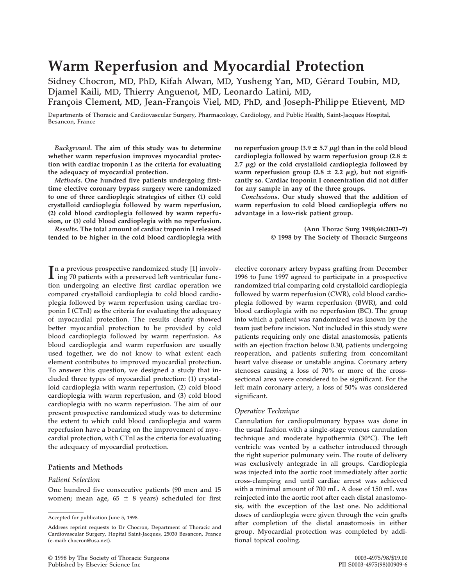# **Warm Reperfusion and Myocardial Protection**

Sidney Chocron, MD, PhD, Kifah Alwan, MD, Yusheng Yan, MD, Gérard Toubin, MD, **Djamel Kaili, MD, Thierry Anguenot, MD, Leonardo Latini, MD,** François Clement, MD, Jean-François Viel, MD, PhD, and Joseph-Philippe Etievent, MD

**Departments of Thoracic and Cardiovascular Surgery, Pharmacology, Cardiology, and Public Health, Saint-Jacques Hospital, Besancon, France**

*Background***. The aim of this study was to determine whether warm reperfusion improves myocardial protection with cardiac troponin I as the criteria for evaluating the adequacy of myocardial protection.**

*Methods***. One hundred five patients undergoing firsttime elective coronary bypass surgery were randomized to one of three cardioplegic strategies of either (1) cold crystalloid cardioplegia followed by warm reperfusion, (2) cold blood cardioplegia followed by warm reperfusion, or (3) cold blood cardioplegia with no reperfusion.**

*Results***. The total amount of cardiac troponin I released tended to be higher in the cold blood cardioplegia with**

In a previous prospective randomized study [1] involving 70 patients with a preserved left ventricular func**ing 70 patients with a preserved left ventricular function undergoing an elective first cardiac operation we compared crystalloid cardioplegia to cold blood cardioplegia followed by warm reperfusion using cardiac troponin I (CTnI) as the criteria for evaluating the adequacy of myocardial protection. The results clearly showed better myocardial protection to be provided by cold blood cardioplegia followed by warm reperfusion. As blood cardioplegia and warm reperfusion are usually used together, we do not know to what extent each element contributes to improved myocardial protection. To answer this question, we designed a study that included three types of myocardial protection: (1) crystalloid cardioplegia with warm reperfusion, (2) cold blood cardioplegia with warm reperfusion, and (3) cold blood cardioplegia with no warm reperfusion. The aim of our present prospective randomized study was to determine the extent to which cold blood cardioplegia and warm reperfusion have a bearing on the improvement of myocardial protection, with CTnI as the criteria for evaluating the adequacy of myocardial protection.**

# **Patients and Methods**

## *Patient Selection*

**One hundred five consecutive patients (90 men and 15** women; mean age,  $65 \pm 8$  years) scheduled for first no reperfusion group  $(3.9 \pm 5.7 \mu g)$  than in the cold blood cardioplegia followed by warm reperfusion group  $(2.8 \pm$ 2.7  $\mu$ g) or the cold crystalloid cardioplegia followed by warm reperfusion group (2.8  $\pm$  2.2  $\mu$ g), but not signifi**cantly so. Cardiac troponin I concentration did not differ for any sample in any of the three groups.**

*Conclusions***. Our study showed that the addition of warm reperfusion to cold blood cardioplegia offers no advantage in a low-risk patient group.**

> **(Ann Thorac Surg 1998;66:2003–7) © 1998 by The Society of Thoracic Surgeons**

**elective coronary artery bypass grafting from December 1996 to June 1997 agreed to participate in a prospective randomized trial comparing cold crystalloid cardioplegia followed by warm reperfusion (CWR), cold blood cardioplegia followed by warm reperfusion (BWR), and cold blood cardioplegia with no reperfusion (BC). The group into which a patient was randomized was known by the team just before incision. Not included in this study were patients requiring only one distal anastomosis, patients with an ejection fraction below 0.30, patients undergoing reoperation, and patients suffering from concomitant heart valve disease or unstable angina. Coronary artery stenoses causing a loss of 70% or more of the crosssectional area were considered to be significant. For the left main coronary artery, a loss of 50% was considered significant.**

#### *Operative Technique*

**Cannulation for cardiopulmonary bypass was done in the usual fashion with a single-stage venous cannulation technique and moderate hypothermia (30°C). The left ventricle was vented by a catheter introduced through the right superior pulmonary vein. The route of delivery was exclusively antegrade in all groups. Cardioplegia was injected into the aortic root immediately after aortic cross-clamping and until cardiac arrest was achieved with a minimal amount of 700 mL. A dose of 150 mL was reinjected into the aortic root after each distal anastomosis, with the exception of the last one. No additional doses of cardioplegia were given through the vein grafts after completion of the distal anastomosis in either group. Myocardial protection was completed by additional topical cooling.**

**Accepted for publication June 5, 1998.**

**Address reprint requests to Dr Chocron, Department of Thoracic and Cardiovascular Surgery, Hopital Saint-Jacques, 25030 Besancon, France (e-mail: chocron@usa.net).**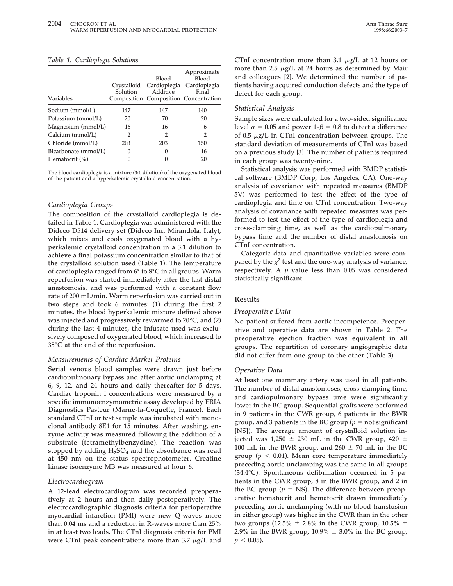#### *Table 1. Cardioplegic Solutions*

| Variables            | <b>Solution</b> | Blood<br>Additive | Approximate<br><b>Blood</b><br>Crystalloid Cardioplegia Cardioplegia<br>Final<br>Composition Composition Concentration |
|----------------------|-----------------|-------------------|------------------------------------------------------------------------------------------------------------------------|
| Sodium (mmol/L)      | 147             | 147               | 140                                                                                                                    |
| Potassium (mmol/L)   | 20              | 70                | 20                                                                                                                     |
| Magnesium (mmol/L)   | 16              | 16                | 6                                                                                                                      |
| Calcium (mmol/L)     | $\overline{2}$  | $\overline{2}$    | 2                                                                                                                      |
| Chloride (mmol/L)    | 203             | 203               | 150                                                                                                                    |
| Bicarbonate (mmol/L) | $\Omega$        | $\theta$          | 16                                                                                                                     |
| Hematocrit $(\% )$   |                 | 0                 | 20                                                                                                                     |

**The blood cardioplegia is a mixture (3:1 dilution) of the oxygenated blood of the patient and a hyperkalemic crystalloid concentration.**

## *Cardioplegia Groups*

**The composition of the crystalloid cardioplegia is detailed in Table 1. Cardioplegia was administered with the Dideco D514 delivery set (Dideco Inc, Mirandola, Italy), which mixes and cools oxygenated blood with a hyperkalemic crystalloid concentration in a 3:1 dilution to achieve a final potassium concentration similar to that of the crystalloid solution used (Table 1). The temperature of cardioplegia ranged from 6° to 8°C in all groups. Warm reperfusion was started immediately after the last distal anastomosis, and was performed with a constant flow rate of 200 mL/min. Warm reperfusion was carried out in two steps and took 6 minutes: (1) during the first 2 minutes, the blood hyperkalemic mixture defined above was injected and progressively rewarmed to 20°C, and (2) during the last 4 minutes, the infusate used was exclusively composed of oxygenated blood, which increased to 35°C at the end of the reperfusion.**

#### *Measurements of Cardiac Marker Proteins*

**Serial venous blood samples were drawn just before cardiopulmonary bypass and after aortic unclamping at 6, 9, 12, and 24 hours and daily thereafter for 5 days. Cardiac troponin I concentrations were measured by a specific immunoenzymometric assay developed by ERIA Diagnostics Pasteur (Marne-la-Coquette, France). Each standard CTnI or test sample was incubated with monoclonal antibody 8E1 for 15 minutes. After washing, enzyme activity was measured following the addition of a substrate (tetramethylbenzydine). The reaction was** stopped by adding H<sub>2</sub>SO<sub>4</sub> and the absorbance was read **at 450 nm on the status spectrophotometer. Creatine kinase isoenzyme MB was measured at hour 6.**

#### *Electrocardiogram*

**A 12-lead electrocardiogram was recorded preoperatively at 2 hours and then daily postoperatively. The electrocardiographic diagnosis criteria for perioperative myocardial infarction (PMI) were new Q-waves more than 0.04 ms and a reduction in R-waves more than 25% in at least two leads. The CTnI diagnosis criteria for PMI** were CTnI peak concentrations more than 3.7  $\mu$ g/L and

**CTnI concentration more than 3.1** <sup>m</sup>**g/L at 12 hours or more than 2.5** <sup>m</sup>**g/L at 24 hours as determined by Mair and colleagues [2]. We determined the number of patients having acquired conduction defects and the type of defect for each group.**

## *Statistical Analysis*

**Sample sizes were calculated for a two-sided significance** level  $\alpha$  = 0.05 and power 1- $\beta$  = 0.8 to detect a difference **of 0.5** <sup>m</sup>**g/L in CTnI concentration between groups. The standard deviation of measurements of CTnI was based on a previous study [3]. The number of patients required in each group was twenty-nine.**

**Statistical analysis was performed with BMDP statistical software (BMDP Corp, Los Angeles, CA). One-way analysis of covariance with repeated measures (BMDP 5V) was performed to test the effect of the type of cardioplegia and time on CTnI concentration. Two-way analysis of covariance with repeated measures was performed to test the effect of the type of cardioplegia and cross-clamping time, as well as the cardiopulmonary bypass time and the number of distal anastomosis on CTnI concentration.**

**Categoric data and quantitative variables were com**pared by the  $\chi^2$  test and the one-way analysis of variance, **respectively. A** *p* **value less than 0.05 was considered statistically significant.**

## **Results**

#### *Preoperative Data*

**No patient suffered from aortic incompetence. Preoperative and operative data are shown in Table 2. The preoperative ejection fraction was equivalent in all groups. The repartition of coronary angiographic data did not differ from one group to the other (Table 3).**

#### *Operative Data*

**At least one mammary artery was used in all patients. The number of distal anastomoses, cross-clamping time, and cardiopulmonary bypass time were significantly lower in the BC group. Sequential grafts were performed in 9 patients in the CWR group, 6 patients in the BWR** group, and 3 patients in the BC group ( $p =$  not significant **[NS]). The average amount of crystalloid solution in**jected was  $1,250 \pm 230$  mL in the CWR group,  $420 \pm 1$ 100 mL in the BWR group, and  $260 \pm 70$  mL in the BC group ( $p < 0.01$ ). Mean core temperature immediately **preceding aortic unclamping was the same in all groups (34.4°C). Spontaneous defibrillation occurred in 5 patients in the CWR group, 8 in the BWR group, and 2 in** the BC group ( $p = NS$ ). The difference between preop**erative hematocrit and hematocrit drawn immediately preceding aortic unclamping (with no blood transfusion in either group) was higher in the CWR than in the other** two groups (12.5%  $\pm$  2.8% in the CWR group, 10.5%  $\pm$ 2.9% in the BWR group,  $10.9\% \pm 3.0\%$  in the BC group,  $p < 0.05$ ).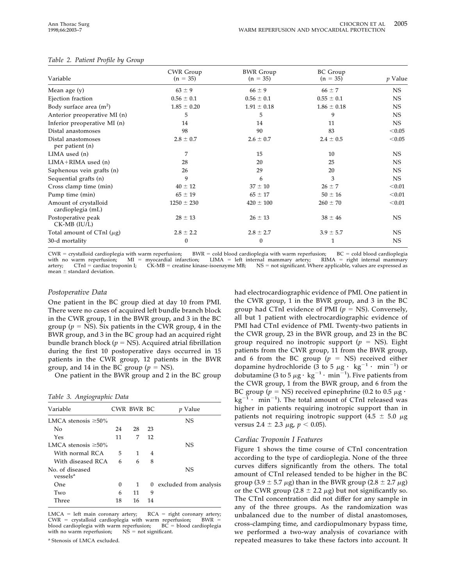| Variable                                   | <b>CWR</b> Group<br>$(n = 35)$ | <b>BWR</b> Group<br>$(n = 35)$ | <b>BC</b> Group<br>$(n = 35)$ | $p$ Value |
|--------------------------------------------|--------------------------------|--------------------------------|-------------------------------|-----------|
| Mean age $(y)$                             | $63 \pm 9$<br>$66 \pm 9$       |                                | $66 \pm 7$                    | <b>NS</b> |
| Ejection fraction                          | $0.56 \pm 0.1$                 | $0.56 \pm 0.1$                 | $0.55 \pm 0.1$                | <b>NS</b> |
| Body surface area $(m^2)$                  | $1.85 \pm 0.20$                | $1.91 \pm 0.18$                | $1.86 \pm 0.18$               | <b>NS</b> |
| Anterior preoperative MI (n)               | 5                              | 5                              | 9                             | <b>NS</b> |
| Inferior preoperative MI (n)               | 14                             | 14                             | 11                            | <b>NS</b> |
| Distal anastomoses                         | 98                             | 90                             | 83                            | < 0.05    |
| Distal anastomoses<br>per patient (n)      | $2.8 \pm 0.7$                  | $2.6 \pm 0.7$                  | $2.4 \pm 0.5$                 | < 0.05    |
| $LIMA$ used $(n)$                          | 7                              | 15                             | 10                            | <b>NS</b> |
| $LIMA + RIMA$ used $(n)$                   | 28                             | 20                             | 25                            | <b>NS</b> |
| Saphenous vein grafts (n)                  | 26                             | 29                             | 20                            | NS.       |
| Sequential grafts (n)                      | 9                              | 6                              | 3                             | <b>NS</b> |
| Cross clamp time (min)                     | $40 \pm 12$                    | $37 \pm 10$                    | $26 \pm 7$                    | < 0.01    |
| Pump time (min)                            | $65 \pm 19$                    | $65 \pm 17$                    | $50 \pm 16$                   | < 0.01    |
| Amount of crystalloid<br>cardioplegia (mL) | $1250 \pm 230$                 | $420 \pm 100$                  | $260 \pm 70$                  | < 0.01    |
| Postoperative peak<br>CK-MB (IU/L)         | $28 \pm 13$                    | $26 \pm 13$                    | $38 \pm 46$                   | <b>NS</b> |
| Total amount of CTnl $(\mu g)$             | $2.8 \pm 2.2$                  | $2.8 \pm 2.7$                  | $3.9 \pm 5.7$                 | <b>NS</b> |
| 30-d mortality                             | $\bf{0}$                       | $\bf{0}$                       | 1                             | <b>NS</b> |

#### *Table 2. Patient Profile by Group*

**CWR** = crystalloid cardioplegia with warm reperfusion; BWR = cold blood cardioplegia with warm reperfusion; BC = cold blood cardioplegia with no warm reperfusion; MI = myocardial infarction; LIMA = left internal mammary artery; RIMA = right internal mammary artery; CTnI = cardiac troponin I; CK-MB = creatine kinase-isoenzyme MB; NS = not significant. Where applicable, values are expressed as mean  $\pm$  standard deviation.

#### *Postoperative Data*

**One patient in the BC group died at day 10 from PMI. There were no cases of acquired left bundle branch block in the CWR group, 1 in the BWR group, and 3 in the BC** group ( $p = NS$ ). Six patients in the CWR group, 4 in the **BWR group, and 3 in the BC group had an acquired right bundle branch block (** $p =$  **NS). Acquired atrial fibrillation during the first 10 postoperative days occurred in 15 patients in the CWR group, 12 patients in the BWR** group, and 14 in the BC group ( $p = NS$ ).

**One patient in the BWR group and 2 in the BC group**

*Table 3. Angiographic Data*

| Variable                                |    | <b>CWR BWR BC</b> |    | Value                  |
|-----------------------------------------|----|-------------------|----|------------------------|
| LMCA stenosis $\geq 50\%$               |    |                   |    | N <sub>S</sub>         |
| No                                      | 24 | 28                | 23 |                        |
| Yes                                     | 11 | 7                 | 12 |                        |
| LMCA stenosis $\geq 50\%$               |    |                   |    | N <sub>S</sub>         |
| With normal RCA                         | 5  | 1                 | 4  |                        |
| With diseased RCA                       | 6  | 6                 | 8  |                        |
| No. of diseased<br>vessels <sup>a</sup> |    |                   |    | N <sub>S</sub>         |
| One                                     | 0  | 1                 | 0  | excluded from analysis |
| Two                                     | 6  | 11                | 9  |                        |
| Three                                   | 18 | 16                | 14 |                        |

 $LMCA = left main economy artery;$   $RCA = right economy artery;$   $CWR = crystalloid cardinalpeia with warm reperfusion:$   $BWR =$  ${\sf CWR} = {\sf crystalloid~cardioplegia~with~warm~reperfusion;~ BC = blood~cardioplegia with warm~reperfusion;~ BC = blood~cardioplegia$ **blood cardioplegia with warm reperfusion;** BC = with no warm reperfusion; NS = not significant. with no warm reperfusion;

**<sup>a</sup> Stenosis of LMCA excluded.**

**had electrocardiographic evidence of PMI. One patient in the CWR group, 1 in the BWR group, and 3 in the BC** group had CTnI evidence of PMI ( $p = NS$ ). Conversely, **all but 1 patient with electrocardiographic evidence of PMI had CTnI evidence of PMI. Twenty-two patients in the CWR group, 23 in the BWR group, and 23 in the BC** group required no inotropic support  $(p = NS)$ . Eight **patients from the CWR group, 11 from the BWR group,** and 6 from the BC group  $(p = NS)$  received either **dopamine hydrochloride** (3 to 5  $\mu$ g ·  $kg^{-1}$  · min<sup>-1</sup>) or  $d$ **o** $b$ **utamine** (3 to 5  $\mu$ g ·  $kg^{-1}$  ·  $min^{-1}$ ). Five patients from **the CWR group, 1 from the BWR group, and 6 from the BC** group ( $p = NS$ ) received epinephrine (0.2 to 0.5  $\mu$ g ·  $\text{kg}^{-1}$   $\cdot$  min<sup>-1</sup>). The total amount of CTnI released was **higher in patients requiring inotropic support than in patients not requiring inotropic support (4.5**  $\pm$  **5.0**  $\mu$ **g versus** 2.4  $\pm$  2.3  $\mu$ g,  $p < 0.05$ ).

## *Cardiac Troponin I Features*

**Figure 1 shows the time course of CTnI concentration according to the type of cardioplegia. None of the three curves differs significantly from the others. The total amount of CTnI released tended to be higher in the BC group** (3.9  $\pm$  5.7  $\mu$ **g**) than in the BWR group (2.8  $\pm$  2.7  $\mu$ **g**) or the CWR group  $(2.8 \pm 2.2 \mu g)$  but not significantly so. **The CTnI concentration did not differ for any sample in any of the three groups. As the randomization was unbalanced due to the number of distal anastomoses, cross-clamping time, and cardiopulmonary bypass time, we performed a two-way analysis of covariance with repeated measures to take these factors into account. It**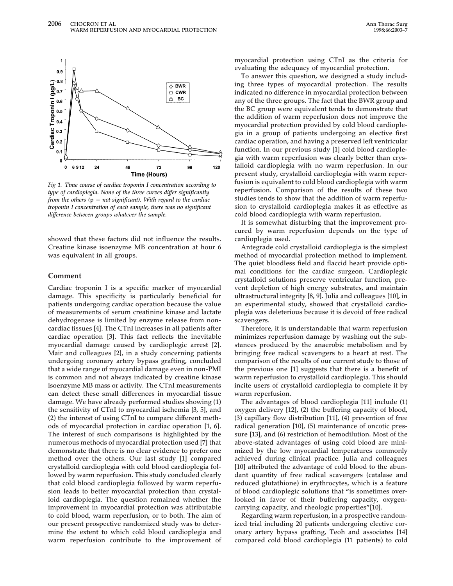

*Fig 1. Time course of cardiac troponin I concentration according to type of cardioplegia. None of the three curves differ significantly from the others (* $p = not significant$ *). With regard to the cardiac troponin I concentration of each sample, there was no significant difference between groups whatever the sample.*

**showed that these factors did not influence the results. Creatine kinase isoenzyme MB concentration at hour 6 was equivalent in all groups.**

## **Comment**

**Cardiac troponin I is a specific marker of myocardial damage. This specificity is particularly beneficial for patients undergoing cardiac operation because the value of measurements of serum creatinine kinase and lactate dehydrogenase is limited by enzyme release from noncardiac tissues [4]. The CTnI increases in all patients after cardiac operation [3]. This fact reflects the inevitable myocardial damage caused by cardioplegic arrest [2]. Mair and colleagues [2], in a study concerning patients undergoing coronary artery bypass grafting, concluded that a wide range of myocardial damage even in non-PMI is common and not always indicated by creatine kinase isoenzyme MB mass or activity. The CTnI measurements can detect these small differences in myocardial tissue damage. We have already performed studies showing (1) the sensitivity of CTnI to myocardial ischemia [3, 5], and (2) the interest of using CTnI to compare different methods of myocardial protection in cardiac operation [1, 6]. The interest of such comparisons is highlighted by the numerous methods of myocardial protection used [7] that demonstrate that there is no clear evidence to prefer one method over the others. Our last study [1] compared crystalloid cardioplegia with cold blood cardioplegia followed by warm reperfusion. This study concluded clearly that cold blood cardioplegia followed by warm reperfusion leads to better myocardial protection than crystalloid cardioplegia. The question remained whether the improvement in myocardial protection was attributable to cold blood, warm reperfusion, or to both. The aim of our present prospective randomized study was to determine the extent to which cold blood cardioplegia and warm reperfusion contribute to the improvement of**

**myocardial protection using CTnI as the criteria for evaluating the adequacy of myocardial protection.**

**To answer this question, we designed a study including three types of myocardial protection. The results indicated no difference in myocardial protection between any of the three groups. The fact that the BWR group and the BC group were equivalent tends to demonstrate that the addition of warm reperfusion does not improve the myocardial protection provided by cold blood cardioplegia in a group of patients undergoing an elective first cardiac operation, and having a preserved left ventricular function. In our previous study [1] cold blood cardioplegia with warm reperfusion was clearly better than crystalloid cardioplegia with no warm reperfusion. In our present study, crystalloid cardioplegia with warm reperfusion is equivalent to cold blood cardioplegia with warm reperfusion. Comparison of the results of these two studies tends to show that the addition of warm reperfusion to crystalloid cardioplegia makes it as effective as cold blood cardioplegia with warm reperfusion.**

**It is somewhat disturbing that the improvement procured by warm reperfusion depends on the type of cardioplegia used.**

**Antegrade cold crystalloid cardioplegia is the simplest method of myocardial protection method to implement. The quiet bloodless field and flaccid heart provide optimal conditions for the cardiac surgeon. Cardioplegic crystalloid solutions preserve ventricular function, prevent depletion of high energy substrates, and maintain ultrastructural integrity [8, 9]. Julia and colleagues [10], in an experimental study, showed that crystalloid cardioplegia was deleterious because it is devoid of free radical scavengers.**

**Therefore, it is understandable that warm reperfusion minimizes reperfusion damage by washing out the substances produced by the anaerobic metabolism and by bringing free radical scavengers to a heart at rest. The comparison of the results of our current study to those of the previous one [1] suggests that there is a benefit of warm reperfusion to crystalloid cardioplegia. This should incite users of crystalloid cardioplegia to complete it by warm reperfusion.**

**The advantages of blood cardioplegia [11] include (1) oxygen delivery [12], (2) the buffering capacity of blood, (3) capillary flow distribution [11], (4) prevention of free radical generation [10], (5) maintenance of oncotic pressure [13], and (6) restriction of hemodilution. Most of the above-stated advantages of using cold blood are minimized by the low myocardial temperatures commonly achieved during clinical practice. Julia and colleagues [10] attributed the advantage of cold blood to the abundant quantity of free radical scavengers (catalase and reduced glutathione) in erythrocytes, which is a feature of blood cardioplegic solutions that "is sometimes overlooked in favor of their buffering capacity, oxygencarrying capacity, and rheologic properties"[10].**

**Regarding warm reperfusion, in a prospective randomized trial including 20 patients undergoing elective coronary artery bypass grafting, Teoh and associates [14] compared cold blood cardioplegia (11 patients) to cold**